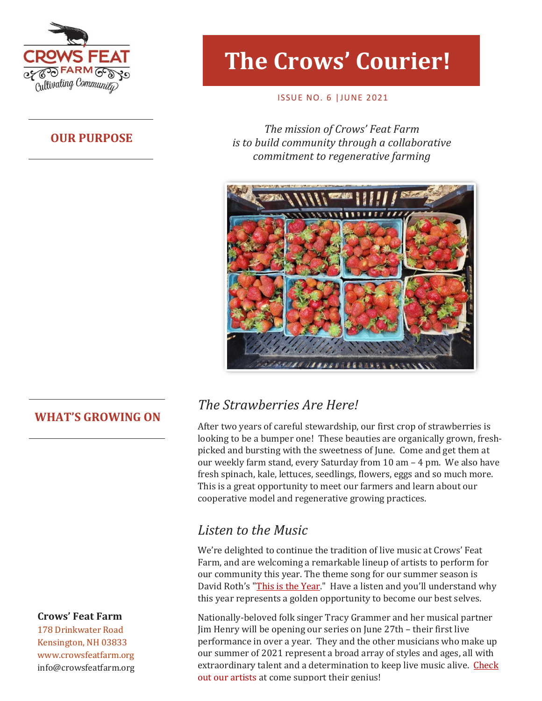

## **OUR PURPOSE**

# **The Crows' Courier!**

#### ISSUE NO. 6 |JUNE 2021

**The mission of Crows' Feat Farm** *is to build community through a collaborative commitment to regenerative farming*



## **WHAT'S GROWING ON**

#### **Crows' Feat Farm**

178 Drinkwater Road Kensington, NH 03833 www.crowsfeatfarm.org [info@crowsfeatfarm.org](mailto:info@crowsfeatfarm.org)

# *The Strawberries Are Here!*

After two years of careful stewardship, our first crop of strawberries is looking to be a bumper one! These beauties are organically grown, freshpicked and bursting with the sweetness of June. Come and get them at our weekly farm stand, every Saturday from 10 am – 4 pm. We also have fresh spinach, kale, lettuces, seedlings, flowers, eggs and so much more. This is a great opportunity to meet our farmers and learn about our cooperative model and regenerative growing practices.

## *Listen to the Music*

We're delighted to continue the tradition of live music at Crows' Feat Farm, and are welcoming a remarkable lineup of artists to perform for our community this year. The theme song for our summer season is David Roth's "[This is the Year.](../Summer%20Concert%20Series/2021/David%20Roth/06%20This%20Is%20The%20Year.mp3)" Have a listen and you'll understand why this year represents a golden opportunity to become our best selves.

Nationally-beloved folk singer Tracy Grammer and her musical partner Jim Henry will be opening our series on June 27th – their first live performance in over a year. They and the other musicians who make up our summer of 2021 represent a broad array of styles and ages, all with extraordinary talent and a determination to keep live music alive. [Check](https://crowsfeatfarm.org/why-we-are-live/)  [out our artists](https://crowsfeatfarm.org/why-we-are-live/) at come support their genius!